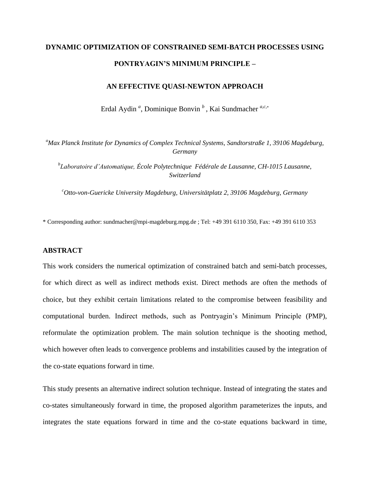# **DYNAMIC OPTIMIZATION OF CONSTRAINED SEMI-BATCH PROCESSES USING PONTRYAGIN'S MINIMUM PRINCIPLE –**

# **AN EFFECTIVE QUASI-NEWTON APPROACH**

Erdal Aydin *<sup>a</sup>* , Dominique Bonvin *<sup>b</sup>* , Kai Sundmacher *a,c,*\*

*<sup>a</sup>Max Planck Institute for Dynamics of Complex Technical Systems, Sandtorstraße 1, 39106 Magdeburg, Germany*

*b Laboratoire d'Automatique, École Polytechnique Fédérale de Lausanne, CH-1015 Lausanne, Switzerland*

*<sup>c</sup>Otto-von-Guericke University Magdeburg, Universitätplatz 2, 39106 Magdeburg, Germany*

\* Corresponding author: sundmacher@mpi-magdeburg.mpg.de ; Tel: +49 391 6110 350, Fax: +49 391 6110 353

# **ABSTRACT**

This work considers the numerical optimization of constrained batch and semi-batch processes, for which direct as well as indirect methods exist. Direct methods are often the methods of choice, but they exhibit certain limitations related to the compromise between feasibility and computational burden. Indirect methods, such as Pontryagin's Minimum Principle (PMP), reformulate the optimization problem. The main solution technique is the shooting method, which however often leads to convergence problems and instabilities caused by the integration of the co-state equations forward in time.

This study presents an alternative indirect solution technique. Instead of integrating the states and co-states simultaneously forward in time, the proposed algorithm parameterizes the inputs, and integrates the state equations forward in time and the co-state equations backward in time,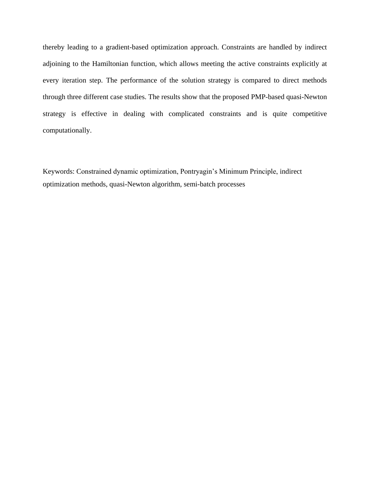thereby leading to a gradient-based optimization approach. Constraints are handled by indirect adjoining to the Hamiltonian function, which allows meeting the active constraints explicitly at every iteration step. The performance of the solution strategy is compared to direct methods through three different case studies. The results show that the proposed PMP-based quasi-Newton strategy is effective in dealing with complicated constraints and is quite competitive computationally.

Keywords: Constrained dynamic optimization, Pontryagin's Minimum Principle, indirect optimization methods, quasi-Newton algorithm, semi-batch processes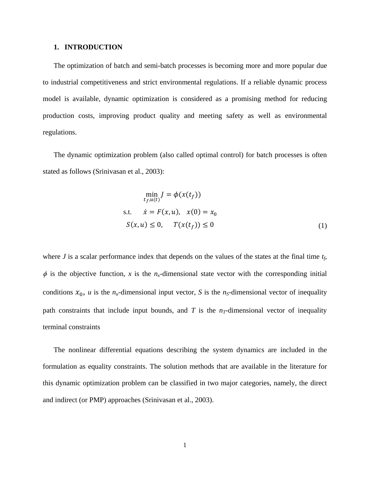#### **1. INTRODUCTION**

 The optimization of batch and semi-batch processes is becoming more and more popular due to industrial competitiveness and strict environmental regulations. If a reliable dynamic process model is available, dynamic optimization is considered as a promising method for reducing production costs, improving product quality and meeting safety as well as environmental regulations.

 The dynamic optimization problem (also called optimal control) for batch processes is often stated as follows [\(Srinivasan et al., 2003\)](#page-36-0):

$$
\min_{t_f, u(t)} J = \phi(x(t_f))
$$
  
s.t.  $\dot{x} = F(x, u), x(0) = x_0$   
 $S(x, u) \le 0, T(x(t_f)) \le 0$  (1)

where *J* is a scalar performance index that depends on the values of the states at the final time *tf*,  $\phi$  is the objective function, *x* is the *n<sub>x</sub>*-dimensional state vector with the corresponding initial conditions  $x_0$ , *u* is the *n*<sub>*u*</sub>-dimensional input vector, *S* is the *n<sub>S</sub>*-dimensional vector of inequality path constraints that include input bounds, and  $T$  is the  $n<sub>T</sub>$ -dimensional vector of inequality terminal constraints

 The nonlinear differential equations describing the system dynamics are included in the formulation as equality constraints. The solution methods that are available in the literature for this dynamic optimization problem can be classified in two major categories, namely, the direct and indirect (or PMP) approaches [\(Srinivasan et al., 2003\)](#page-36-0).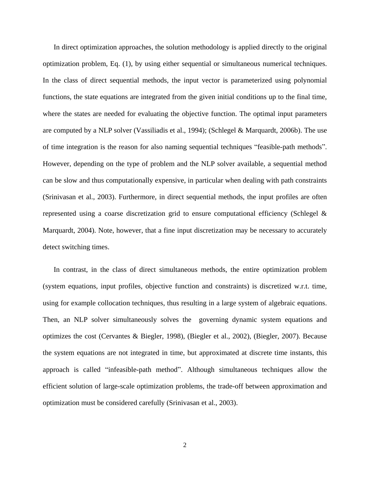In direct optimization approaches, the solution methodology is applied directly to the original optimization problem, Eq. (1), by using either sequential or simultaneous numerical techniques. In the class of direct sequential methods, the input vector is parameterized using polynomial functions, the state equations are integrated from the given initial conditions up to the final time, where the states are needed for evaluating the objective function. The optimal input parameters are computed by a NLP solver [\(Vassiliadis et al., 1994\)](#page-36-1); [\(Schlegel & Marquardt, 2006b\)](#page-36-2). The use of time integration is the reason for also naming sequential techniques "feasible-path methods". However, depending on the type of problem and the NLP solver available, a sequential method can be slow and thus computationally expensive, in particular when dealing with path constraints [\(Srinivasan et al., 2003\)](#page-36-0). Furthermore, in direct sequential methods, the input profiles are often represented using a coarse discretization grid to ensure computational efficiency [\(Schlegel &](#page-36-3)  [Marquardt, 2004\)](#page-36-3). Note, however, that a fine input discretization may be necessary to accurately detect switching times.

 In contrast, in the class of direct simultaneous methods, the entire optimization problem (system equations, input profiles, objective function and constraints) is discretized w.r.t. time, using for example collocation techniques, thus resulting in a large system of algebraic equations. Then, an NLP solver simultaneously solves the governing dynamic system equations and optimizes the cost [\(Cervantes & Biegler, 1998\)](#page-35-0), [\(Biegler et al., 2002\)](#page-35-1), [\(Biegler, 2007\)](#page-35-2). Because the system equations are not integrated in time, but approximated at discrete time instants, this approach is called "infeasible-path method". Although simultaneous techniques allow the efficient solution of large-scale optimization problems, the trade-off between approximation and optimization must be considered carefully [\(Srinivasan et al., 2003\)](#page-36-0).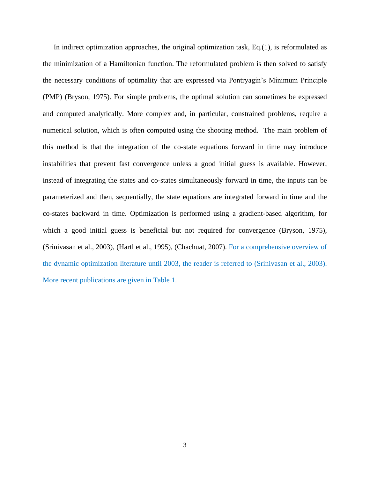In indirect optimization approaches, the original optimization task, Eq.(1), is reformulated as the minimization of a Hamiltonian function. The reformulated problem is then solved to satisfy the necessary conditions of optimality that are expressed via Pontryagin's Minimum Principle (PMP) [\(Bryson, 1975\)](#page-35-3). For simple problems, the optimal solution can sometimes be expressed and computed analytically. More complex and, in particular, constrained problems, require a numerical solution, which is often computed using the shooting method. The main problem of this method is that the integration of the co-state equations forward in time may introduce instabilities that prevent fast convergence unless a good initial guess is available. However, instead of integrating the states and co-states simultaneously forward in time, the inputs can be parameterized and then, sequentially, the state equations are integrated forward in time and the co-states backward in time. Optimization is performed using a gradient-based algorithm, for which a good initial guess is beneficial but not required for convergence [\(Bryson, 1975\)](#page-35-3), [\(Srinivasan et al., 2003\)](#page-36-0), [\(Hartl et al., 1995\)](#page-35-4), [\(Chachuat, 2007\)](#page-35-5). For a comprehensive overview of the dynamic optimization literature until 2003, the reader is referred to [\(Srinivasan et al., 2003\)](#page-36-0). More recent publications are given in Table 1.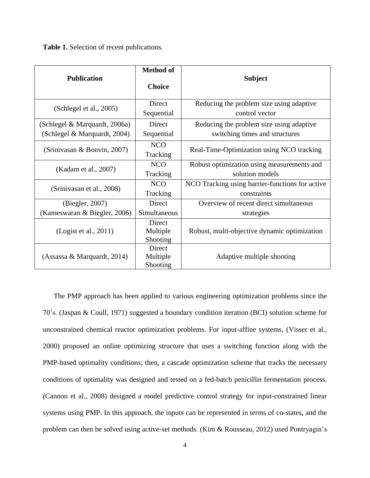**Table 1.** Selection of recent publications.

| <b>Publication</b>                                            | <b>Method of</b><br><b>Choice</b> | <b>Subject</b>                                                             |
|---------------------------------------------------------------|-----------------------------------|----------------------------------------------------------------------------|
| (Schlegel et al., 2005)                                       | Direct<br>Sequential              | Reducing the problem size using adaptive<br>control vector                 |
| (Schlegel & Marquardt, 2006a)<br>(Schlegel & Marquardt, 2004) | Direct<br>Sequential              | Reducing the problem size using adaptive<br>switching times and structures |
| (Srinivasan & Bonvin, 2007)                                   | <b>NCO</b><br>Tracking            | Real-Time-Optimization using NCO tracking                                  |
| (Kadam et al., 2007)                                          | <b>NCO</b><br>Tracking            | Robust optimization using measurements and<br>solution models              |
| (Srinivasan et al., 2008)                                     | <b>NCO</b><br>Tracking            | NCO Tracking using barrier-functions for active<br>constraints             |
| (Biegler, 2007)                                               | Direct                            | Overview of recent direct simultaneous                                     |
| (Kameswaran & Biegler, 2006)                                  | Simultaneous                      | strategies                                                                 |
| (Logist et al., 2011)                                         | Direct<br>Multiple<br>Shooting    | Robust, multi-objective dynamic optimization                               |
| (Assassa & Marquardt, 2014)                                   | Direct<br>Multiple<br>Shooting    | Adaptive multiple shooting                                                 |

 The PMP approach has been applied to various engineering optimization problems since the 70's. [\(Jaspan & Coull, 1971\)](#page-35-9) suggested a boundary condition iteration (BCI) solution scheme for unconstrained chemical reactor optimization problems. For input-affine systems, [\(Visser et al.,](#page-36-9)  [2000\)](#page-36-9) proposed an online optimizing structure that uses a switching function along with the PMP-based optimality conditions; then, a cascade optimization scheme that tracks the necessary conditions of optimality was designed and tested on a fed-batch penicillin fermentation process. [\(Cannon et al., 2008\)](#page-35-10) designed a model predictive control strategy for input-constrained linear systems using PMP. In this approach, the inputs can be represented in terms of co-states, and the problem can then be solved using active-set methods. [\(Kim & Rousseau, 2012\)](#page-36-10) used Pontryagin's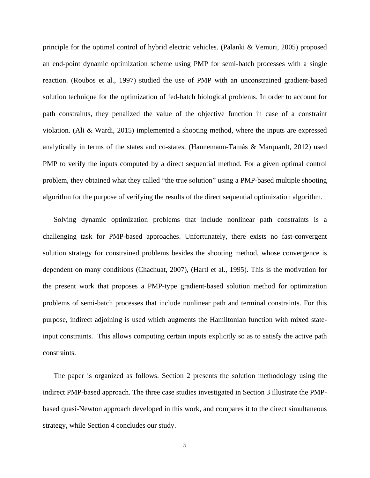principle for the optimal control of hybrid electric vehicles. [\(Palanki & Vemuri, 2005\)](#page-36-11) proposed an end-point dynamic optimization scheme using PMP for semi-batch processes with a single reaction. [\(Roubos et al., 1997\)](#page-36-12) studied the use of PMP with an unconstrained gradient-based solution technique for the optimization of fed-batch biological problems. In order to account for path constraints, they penalized the value of the objective function in case of a constraint violation. [\(Ali & Wardi, 2015\)](#page-35-11) implemented a shooting method, where the inputs are expressed analytically in terms of the states and co-states. [\(Hannemann-Tamás & Marquardt, 2012\)](#page-35-12) used PMP to verify the inputs computed by a direct sequential method. For a given optimal control problem, they obtained what they called "the true solution" using a PMP-based multiple shooting algorithm for the purpose of verifying the results of the direct sequential optimization algorithm.

 Solving dynamic optimization problems that include nonlinear path constraints is a challenging task for PMP-based approaches. Unfortunately, there exists no fast-convergent solution strategy for constrained problems besides the shooting method, whose convergence is dependent on many conditions [\(Chachuat, 2007\)](#page-35-5), (Hartl [et al., 1995\)](#page-35-4). This is the motivation for the present work that proposes a PMP-type gradient-based solution method for optimization problems of semi-batch processes that include nonlinear path and terminal constraints. For this purpose, indirect adjoining is used which augments the Hamiltonian function with mixed stateinput constraints. This allows computing certain inputs explicitly so as to satisfy the active path constraints.

 The paper is organized as follows. Section 2 presents the solution methodology using the indirect PMP-based approach. The three case studies investigated in Section 3 illustrate the PMPbased quasi-Newton approach developed in this work, and compares it to the direct simultaneous strategy, while Section 4 concludes our study.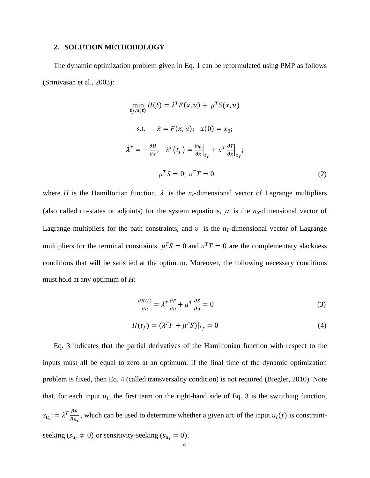#### **2. SOLUTION METHODOLOGY**

 The dynamic optimization problem given in Eq. 1 can be reformulated using PMP as follows [\(Srinivasan et al., 2003\)](#page-36-0):

$$
\min_{t_f, u(t)} H(t) = \lambda^T F(x, u) + \mu^T S(x, u)
$$
  
s.t.  $\dot{x} = F(x, u); \quad x(0) = x_0;$   

$$
\dot{\lambda}^T = -\frac{\partial H}{\partial x}, \quad \lambda^T (t_f) = \frac{\partial \phi}{\partial x} \Big|_{t_f} + v^T \frac{\partial T}{\partial x} \Big|_{t_f};
$$

$$
\mu^T S = 0; \quad v^T T = 0 \tag{2}
$$

where *H* is the Hamiltonian function,  $\lambda$  is the *n<sub>x</sub>*-dimensional vector of Lagrange multipliers (also called co-states or adjoints) for the system equations,  $\mu$  is the *n<sub>S</sub>*-dimensional vector of Lagrange multipliers for the path constraints, and  $v$  is the  $n<sub>T</sub>$ -dimensional vector of Lagrange multipliers for the terminal constraints.  $\mu^T S = 0$  and  $\nu^T T = 0$  are the complementary slackness conditions that will be satisfied at the optimum. Moreover, the following necessary conditions must hold at any optimum of *H*:

<span id="page-7-2"></span><span id="page-7-1"></span><span id="page-7-0"></span>
$$
\frac{\partial H(t)}{\partial u} = \lambda^T \frac{\partial F}{\partial u} + \mu^T \frac{\partial S}{\partial u} = 0
$$
\n(3)

$$
H(t_f) = (\lambda^T F + \mu^T S)|_{t_f} = 0
$$
\n(4)

 Eq. [3](#page-7-0) indicates that the partial derivatives of the Hamiltonian function with respect to the inputs must all be equal to zero at an optimum. If the final time of the dynamic optimization problem is fixed, then Eq. [4](#page-7-1) (called transversality condition) is not required [\(Biegler, 2010\)](#page-35-13). Note that, for each input  $u_i$ , the first term on the right-hand side of Eq. 3 is the switching function,  $s_{u_i} := \lambda^T \frac{\partial F}{\partial u_i}$  $\frac{\partial F}{\partial u_i}$ , which can be used to determine whether a given arc of the input  $u_i(t)$  is constraintseeking ( $s_{u_i} \neq 0$ ) or sensitivity-seeking ( $s_{u_i} = 0$ ).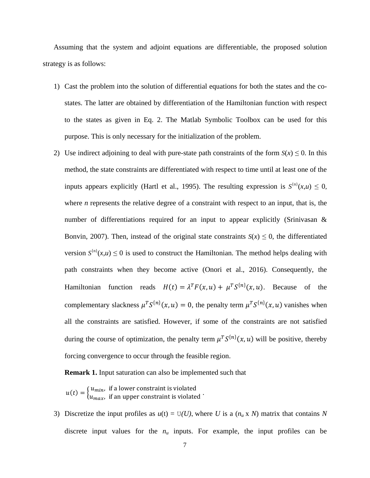Assuming that the system and adjoint equations are differentiable, the proposed solution strategy is as follows:

- 1) Cast the problem into the solution of differential equations for both the states and the costates. The latter are obtained by differentiation of the Hamiltonian function with respect to the states as given in Eq. [2.](#page-7-2) The Matlab Symbolic Toolbox can be used for this purpose. This is only necessary for the initialization of the problem.
- 2) Use indirect adjoining to deal with pure-state path constraints of the form  $S(x) \le 0$ . In this method, the state constraints are differentiated with respect to time until at least one of the inputs appears explicitly [\(Hartl et al., 1995\)](#page-35-4). The resulting expression is  $S^{(n)}(x,u) \leq 0$ , where *n* represents the relative degree of a constraint with respect to an input, that is, the number of differentiations required for an input to appear explicitly (Srinivasan & [Bonvin, 2007\)](#page-36-6). Then, instead of the original state constraints  $S(x) \le 0$ , the differentiated version  $S^{(n)}(x,u) \le 0$  is used to construct the Hamiltonian. The method helps dealing with path constraints when they become active [\(Onori et al., 2016\)](#page-36-13). Consequently, the Hamiltonian function reads  $H(t) = \lambda^T F(x, u) + \mu^T S^{\{n\}}(x, u)$ . Because of the complementary slackness  $\mu^T S^{\{n\}}(x, u) = 0$ , the penalty term  $\mu^T S^{\{n\}}(x, u)$  vanishes when all the constraints are satisfied. However, if some of the constraints are not satisfied during the course of optimization, the penalty term  $\mu^T S^{\{n\}}(x, u)$  will be positive, thereby forcing convergence to occur through the feasible region.

**Remark 1.** Input saturation can also be implemented such that

$$
u(t) = \begin{cases} u_{min}, & \text{if a lower constraint is violated} \\ u_{max}, & \text{if an upper constraint is violated} \end{cases}
$$

3) Discretize the input profiles as  $u(t) = U(U)$ , where U is a  $(n_u \times N)$  matrix that contains N discrete input values for the  $n<sub>u</sub>$  inputs. For example, the input profiles can be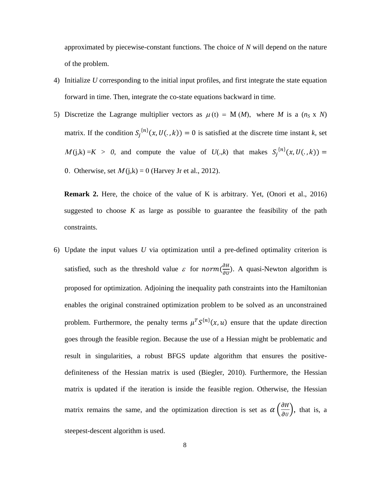approximated by piecewise-constant functions. The choice of *N* will depend on the nature of the problem.

- 4) Initialize *U* corresponding to the initial input profiles, and first integrate the state equation forward in time. Then, integrate the co-state equations backward in time.
- 5) Discretize the Lagrange multiplier vectors as  $\mu$  (t) = M *(M)*, where *M* is a ( $n_S \times N$ ) matrix. If the condition  $S_j^{\{n\}}(x, U(., k)) = 0$  is satisfied at the discrete time instant *k*, set  $M(j,k) = K > 0$ , and compute the value of  $U(.,k)$  that makes  $S_j^{\{n\}}(x, U(.,k)) =$ 0. Otherwise, set  $M(j,k) = 0$  [\(Harvey Jr et al., 2012\)](#page-35-14).

**Remark 2.** Here, the choice of the value of K is arbitrary. Yet, [\(Onori et al., 2016\)](#page-36-13) suggested to choose  $K$  as large as possible to guarantee the feasibility of the path constraints.

6) Update the input values *U* via optimization until a pre-defined optimality criterion is satisfied, such as the threshold value  $\varepsilon$  for *norm* $\left(\frac{\partial H}{\partial u}\right)$  $\frac{\partial n}{\partial v}$ ). A quasi-Newton algorithm is proposed for optimization. Adjoining the inequality path constraints into the Hamiltonian enables the original constrained optimization problem to be solved as an unconstrained problem. Furthermore, the penalty terms  $\mu^T S^{\{n\}}(x, u)$  ensure that the update direction goes through the feasible region. Because the use of a Hessian might be problematic and result in singularities, a robust BFGS update algorithm that ensures the positivedefiniteness of the Hessian matrix is used [\(Biegler, 2010\)](#page-35-13). Furthermore, the Hessian matrix is updated if the iteration is inside the feasible region. Otherwise, the Hessian matrix remains the same, and the optimization direction is set as  $\alpha \left( \frac{\partial H}{\partial x} \right)$  $\left(\frac{\partial H}{\partial U}\right)$ , that is, a steepest-descent algorithm is used.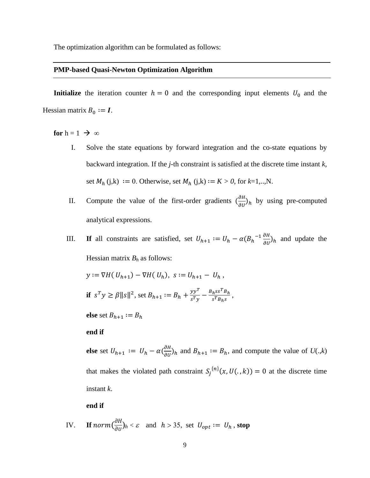The optimization algorithm can be formulated as follows:

# **PMP-based Quasi-Newton Optimization Algorithm**

**Initialize** the iteration counter  $h = 0$  and the corresponding input elements  $U_0$  and the Hessian matrix  $B_0 := I$ .

**for**  $h = 1 \rightarrow \infty$ 

- I. Solve the state equations by forward integration and the co-state equations by backward integration. If the *j-*th constraint is satisfied at the discrete time instant *k*, set  $M_h$  (j,k) := 0. Otherwise, set  $M_h$  (j,k) :=  $K > 0$ , for  $k=1,...,N$ .
- II. Compute the value of the first-order gradients  $\left(\frac{\partial H}{\partial u}\right)$  $\frac{\partial h}{\partial v}$ <sub>h</sub> by using pre-computed analytical expressions.
- III. **If** all constraints are satisfied, set  $U_{h+1} := U_h \alpha (B_h^{-1} \frac{\partial H}{\partial U_h})$  $\frac{\partial h}{\partial v}$ <sub>h</sub> and update the Hessian matrix  $B_h$  as follows:

$$
y := \nabla H(U_{h+1}) - \nabla H(U_h), \ s := U_{h+1} - U_h,
$$

**if**  $s^T y \ge \beta ||s||^2$ , set  $B_{h+1} := B_h + \frac{y y^T}{s^T y}$  $\frac{y y^T}{s^T y} - \frac{B_h s s^T B_h}{s^T B_h s}$  $\frac{h^{ss}h}{s^{T}B_{h}s}$ ,

**else** set  $B_{h+1} := B_h$ 

# **end if**

**else** set  $U_{h+1}$  :=  $U_h - \alpha \left(\frac{\partial H}{\partial U}\right)$  $\left(\frac{\partial H}{\partial U}\right)_h$  and  $B_{h+1} := B_h$ , and compute the value of  $U(.,k)$ that makes the violated path constraint  $S_j^{\{n\}}(x, U(., k)) = 0$  at the discrete time instant *k*.

**end if**

IV. If 
$$
norm(\frac{\partial H}{\partial v})_h < \varepsilon
$$
 and  $h > 35$ , set  $U_{opt} := U_h$ , stop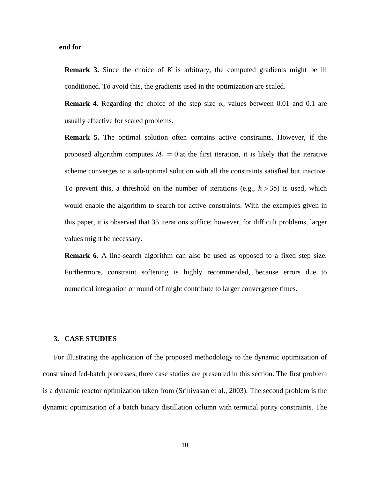**Remark 3.** Since the choice of *K* is arbitrary, the computed gradients might be ill conditioned. To avoid this, the gradients used in the optimization are scaled.

**Remark 4.** Regarding the choice of the step size  $\alpha$ , values between 0.01 and 0.1 are usually effective for scaled problems.

**Remark 5.** The optimal solution often contains active constraints. However, if the proposed algorithm computes  $M_1 = 0$  at the first iteration, it is likely that the iterative scheme converges to a sub-optimal solution with all the constraints satisfied but inactive. To prevent this, a threshold on the number of iterations (e.g.,  $h > 35$ ) is used, which would enable the algorithm to search for active constraints. With the examples given in this paper, it is observed that 35 iterations suffice; however, for difficult problems, larger values might be necessary.

**Remark 6.** A line-search algorithm can also be used as opposed to a fixed step size. Furthermore, constraint softening is highly recommended, because errors due to numerical integration or round off might contribute to larger convergence times.

## **3. CASE STUDIES**

For illustrating the application of the proposed methodology to the dynamic optimization of constrained fed-batch processes, three case studies are presented in this section. The first problem is a dynamic reactor optimization taken from [\(Srinivasan et al., 2003\)](#page-36-0). The second problem is the dynamic optimization of a batch binary distillation column with terminal purity constraints. The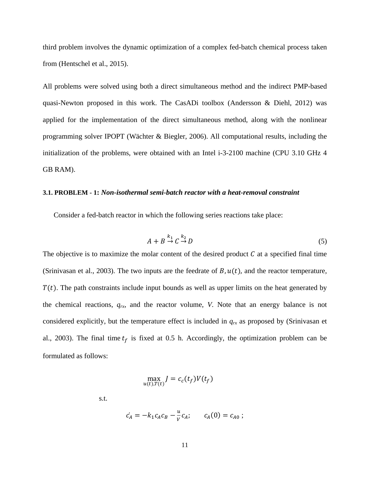third problem involves the dynamic optimization of a complex fed-batch chemical process taken from [\(Hentschel et al., 2015\)](#page-35-15).

All problems were solved using both a direct simultaneous method and the indirect PMP-based quasi-Newton proposed in this work. The CasADi toolbox (Andersson [& Diehl, 2012\)](#page-35-16) was applied for the implementation of the direct simultaneous method, along with the nonlinear programming solver IPOPT [\(Wächter & Biegler, 2006\)](#page-36-14). All computational results, including the initialization of the problems, were obtained with an Intel i-3-2100 machine (CPU 3.10 GHz 4 GB RAM).

#### **3.1. PROBLEM - 1:** *Non-isothermal semi-batch reactor with a heat-removal constraint*

Consider a fed-batch reactor in which the following series reactions take place:

$$
A + B \stackrel{k_1}{\to} C \stackrel{k_2}{\to} D \tag{5}
$$

The objective is to maximize the molar content of the desired product  $C$  at a specified final time [\(Srinivasan et al., 2003\)](#page-36-0). The two inputs are the feedrate of  $B, u(t)$ , and the reactor temperature,  $T(t)$ . The path constraints include input bounds as well as upper limits on the heat generated by the chemical reactions,  $q_{rx}$ , and the reactor volume, *V*. Note that an energy balance is not considered explicitly, but the temperature effect is included in  $q<sub>rx</sub>$  as proposed by (Srinivasan et [al., 2003\)](#page-36-0). The final time  $t_f$  is fixed at 0.5 h. Accordingly, the optimization problem can be formulated as follows:

$$
\max_{u(t),T(t)} J = c_c(t_f) V(t_f)
$$

s.t.

$$
\dot{c}_A = -k_1 c_A c_B - \frac{u}{V} c_A; \qquad c_A(0) = c_{A0};
$$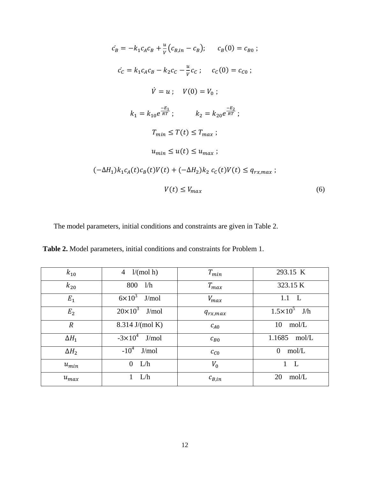$$
c_B = -k_1 c_A c_B + \frac{u}{v} (c_{B,in} - c_B); \t c_B(0) = c_{B0};
$$
  
\n
$$
c_C = k_1 c_A c_B - k_2 c_C - \frac{u}{v} c_C; \t c_C(0) = c_{C0};
$$
  
\n
$$
\dot{V} = u; \t V(0) = V_0;
$$
  
\n
$$
k_1 = k_{10} e^{\frac{-E_1}{RT}}; \t k_2 = k_{20} e^{\frac{-E_2}{RT}};
$$
  
\n
$$
T_{min} \le T(t) \le T_{max};
$$
  
\n
$$
u_{min} \le u(t) \le u_{max};
$$
  
\n
$$
(-\Delta H_1) k_1 c_A(t) c_B(t) V(t) + (-\Delta H_2) k_2 c_C(t) V(t) \le q_{rx,max};
$$
  
\n
$$
V(t) \le V_{max}
$$
\n(6)

The model parameters, initial conditions and constraints are given in Table 2.

**Table 2.** Model parameters, initial conditions and constraints for Problem 1.

| $k_{10}$       | $\overline{4}$<br>$1/(mol \; h)$ | $T_{min}$    | 293.15 K              |
|----------------|----------------------------------|--------------|-----------------------|
| $k_{20}$       | 800<br>1/h                       | $T_{max}$    | 323.15 K              |
| $E_1$          | $6\times10^3$ J/mol              | $V_{max}$    | 1.1<br>L              |
| E <sub>2</sub> | $20\times10^3$ J/mol             | $q_{rx,max}$ | $1.5 \times 10^5$ J/h |
| $\overline{R}$ | 8.314 J/(mol K)                  | $c_{A0}$     | 10<br>mol/L           |
| $\Delta H_1$   | $-3 \times 10^4$ J/mol           | $c_{B0}$     | 1.1685<br>mol/L       |
| $\Delta H_2$   | $-10^4$<br>J/mol                 | $c_{C0}$     | $\Omega$<br>mol/L     |
| $u_{min}$      | $\theta$<br>L/h                  | $V_0$        | $\mathbf{L}$          |
| $u_{max}$      | L/h                              | $c_{B,in}$   | 20<br>mol/L           |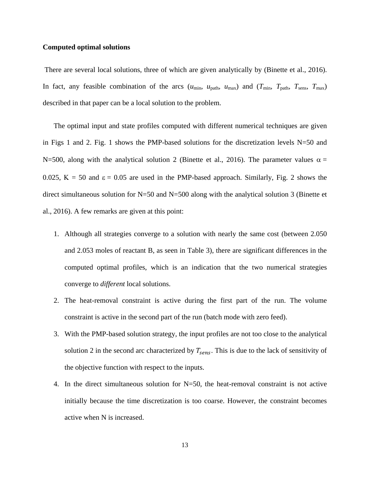#### **Computed optimal solutions**

There are several local solutions, three of which are given analytically by [\(Binette et al., 2016\)](#page-35-17). In fact, any feasible combination of the arcs  $(u_{min}, u_{path}, u_{max})$  and  $(T_{min}, T_{path}, T_{sens}, T_{max})$ described in that paper can be a local solution to the problem.

 The optimal input and state profiles computed with different numerical techniques are given in Figs 1 and 2. Fig. 1 shows the PMP-based solutions for the discretization levels  $N=50$  and N=500, along with the analytical solution 2 [\(Binette et al., 2016\)](#page-35-17). The parameter values  $\alpha$  = 0.025,  $K = 50$  and  $\varepsilon = 0.05$  are used in the PMP-based approach. Similarly, Fig. 2 shows the direct simultaneous solution for N=50 and N=500 along with the analytical solution 3 (Binette et [al., 2016\)](#page-35-17). A few remarks are given at this point:

- 1. Although all strategies converge to a solution with nearly the same cost (between 2.050 and 2.053 moles of reactant B, as seen in Table 3), there are significant differences in the computed optimal profiles, which is an indication that the two numerical strategies converge to *different* local solutions.
- 2. The heat-removal constraint is active during the first part of the run. The volume constraint is active in the second part of the run (batch mode with zero feed).
- 3. With the PMP-based solution strategy, the input profiles are not too close to the analytical solution 2 in the second arc characterized by  $T_{sens}$ . This is due to the lack of sensitivity of the objective function with respect to the inputs.
- 4. In the direct simultaneous solution for N=50, the heat-removal constraint is not active initially because the time discretization is too coarse. However, the constraint becomes active when N is increased.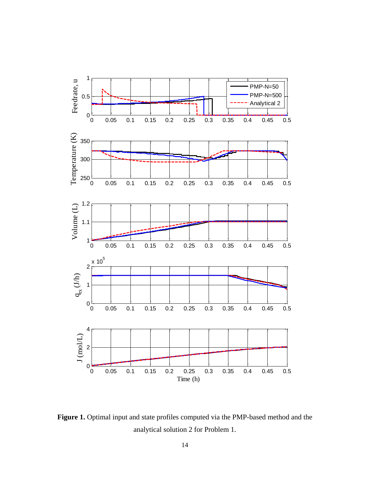

Figure 1. Optimal input and state profiles computed via the PMP-based method and the analytical solution 2 for Problem 1.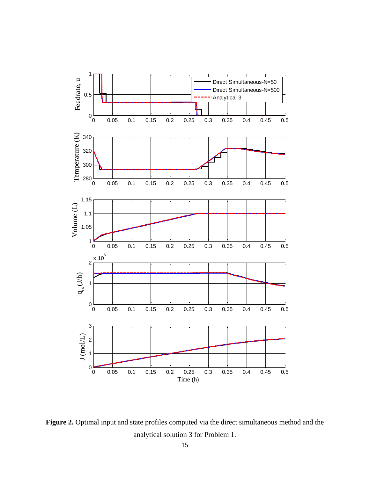

Figure 2. Optimal input and state profiles computed via the direct simultaneous method and the analytical solution 3 for Problem 1.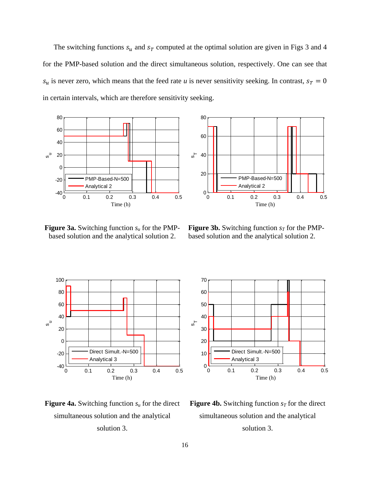The switching functions  $s_u$  and  $s_T$  computed at the optimal solution are given in Figs 3 and 4 for the PMP-based solution and the direct simultaneous solution, respectively. One can see that  $s_u$  is never zero, which means that the feed rate *u* is never sensitivity seeking. In contrast,  $s_T = 0$ in certain intervals, which are therefore sensitivity seeking.



50

60 70

**Figure 3a.** Switching function *s<sup>u</sup>* for the PMPbased solution and the analytical solution 2.

**Figure 3b.** Switching function  $s_T$  for the PMPbased solution and the analytical solution 2.







**Figure 4b.** Switching function  $s_T$  for the direct simultaneous solution and the analytical solution 3.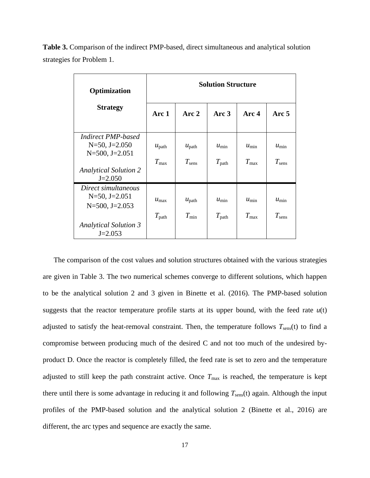| Optimization                                                                                               | <b>Solution Structure</b>          |                                     |                              |                             |                              |  |
|------------------------------------------------------------------------------------------------------------|------------------------------------|-------------------------------------|------------------------------|-----------------------------|------------------------------|--|
| <b>Strategy</b>                                                                                            | Arc <sub>1</sub>                   | Arc 2                               | Arc $3$                      | Arc 4                       | Arc 5                        |  |
| <i>Indirect PMP-based</i><br>$N=50$ , $J=2.050$<br>$N = 500$ , $J = 2.051$<br><b>Analytical Solution 2</b> | $u_{\text{path}}$<br>$T_{\rm max}$ | $u_{\text{path}}$<br>$T_{\rm sens}$ | $u_{\min}$<br>$T_{\rm path}$ | $u_{\min}$<br>$T_{\rm max}$ | $u_{\min}$<br>$T_{\rm sens}$ |  |
| $J=2.050$                                                                                                  |                                    |                                     |                              |                             |                              |  |
| Direct simultaneous<br>$N=50$ , J $=2.051$<br>$N = 500$ , J $= 2.053$                                      | $u_{\text{max}}$                   | $u_{\text{path}}$                   | $u_{\min}$                   | $u_{\min}$                  | $u_{\min}$                   |  |
| <b>Analytical Solution 3</b><br>$J=2.053$                                                                  | $T_{\text{path}}$                  | $T_{\rm min}$                       | $T_{\rm path}$               | $T_{\rm max}$               | $T_{\rm sens}$               |  |

**Table 3.** Comparison of the indirect PMP-based, direct simultaneous and analytical solution strategies for Problem 1.

 The comparison of the cost values and solution structures obtained with the various strategies are given in Table 3. The two numerical schemes converge to different solutions, which happen to be the analytical solution 2 and 3 given in Binette et al. (2016). The PMP-based solution suggests that the reactor temperature profile starts at its upper bound, with the feed rate  $u(t)$ adjusted to satisfy the heat-removal constraint. Then, the temperature follows  $T_{\text{sens}}(t)$  to find a compromise between producing much of the desired C and not too much of the undesired byproduct D. Once the reactor is completely filled, the feed rate is set to zero and the temperature adjusted to still keep the path constraint active. Once  $T_{\text{max}}$  is reached, the temperature is kept there until there is some advantage in reducing it and following  $T_{\text{sens}}(t)$  again. Although the input profiles of the PMP-based solution and the analytical solution 2 (Binette et al., 2016) are different, the arc types and sequence are exactly the same.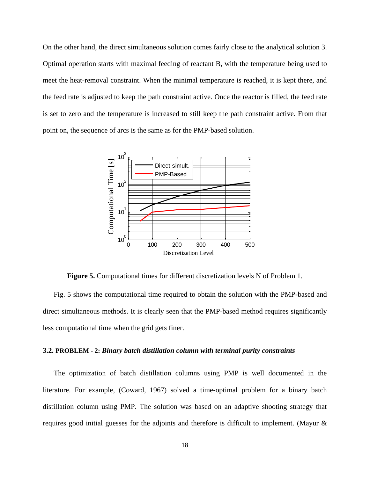On the other hand, the direct simultaneous solution comes fairly close to the analytical solution 3. Optimal operation starts with maximal feeding of reactant B, with the temperature being used to meet the heat-removal constraint. When the minimal temperature is reached, it is kept there, and the feed rate is adjusted to keep the path constraint active. Once the reactor is filled, the feed rate is set to zero and the temperature is increased to still keep the path constraint active. From that point on, the sequence of arcs is the same as for the PMP-based solution.



**Figure 5.** Computational times for different discretization levels N of Problem 1.

 Fig. 5 shows the computational time required to obtain the solution with the PMP-based and direct simultaneous methods. It is clearly seen that the PMP-based method requires significantly less computational time when the grid gets finer.

#### **3.2. PROBLEM - 2:** *Binary batch distillation column with terminal purity constraints*

 The optimization of batch distillation columns using PMP is well documented in the literature. For example, [\(Coward, 1967\)](#page-35-18) solved a time-optimal problem for a binary batch distillation column using PMP. The solution was based on an adaptive shooting strategy that requires good initial guesses for the adjoints and therefore is difficult to implement. [\(Mayur &](#page-36-15)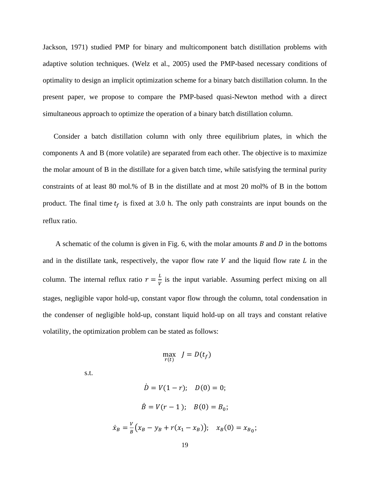[Jackson, 1971\)](#page-36-15) studied PMP for binary and multicomponent batch distillation problems with adaptive solution techniques. [\(Welz et al., 2005\)](#page-36-16) used the PMP-based necessary conditions of optimality to design an implicit optimization scheme for a binary batch distillation column. In the present paper, we propose to compare the PMP-based quasi-Newton method with a direct simultaneous approach to optimize the operation of a binary batch distillation column.

 Consider a batch distillation column with only three equilibrium plates, in which the components A and B (more volatile) are separated from each other. The objective is to maximize the molar amount of B in the distillate for a given batch time, while satisfying the terminal purity constraints of at least 80 mol.% of B in the distillate and at most 20 mol% of B in the bottom product. The final time  $t_f$  is fixed at 3.0 h. The only path constraints are input bounds on the reflux ratio.

A schematic of the column is given in Fig. 6, with the molar amounts  $B$  and  $D$  in the bottoms and in the distillate tank, respectively, the vapor flow rate  $V$  and the liquid flow rate  $L$  in the column. The internal reflux ratio  $r = \frac{L}{v}$  $\frac{2}{v}$  is the input variable. Assuming perfect mixing on all stages, negligible vapor hold-up, constant vapor flow through the column, total condensation in the condenser of negligible hold-up, constant liquid hold-up on all trays and constant relative volatility, the optimization problem can be stated as follows:

$$
\max_{r(t)} J = D(t_f)
$$

s.t.

$$
\dot{D} = V(1 - r); \quad D(0) = 0;
$$
  

$$
\dot{B} = V(r - 1); \quad B(0) = B_0;
$$
  

$$
\dot{x}_B = \frac{v}{B}(x_B - y_B + r(x_1 - x_B)); \quad x_B(0) = x_{B_0};
$$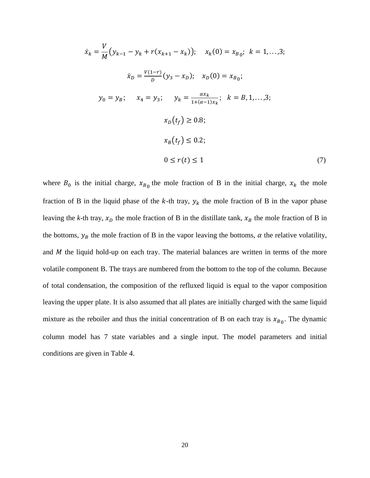$$
\dot{x}_k = \frac{V}{M} (y_{k-1} - y_k + r(x_{k+1} - x_k)); \quad x_k(0) = x_{B_0}; \quad k = 1,...,3; \n\dot{x}_D = \frac{V(1-r)}{D} (y_3 - x_D); \quad x_D(0) = x_{B_0}; \n\dot{y}_0 = y_B; \quad x_4 = y_3; \quad y_k = \frac{ax_k}{1 + (\alpha - 1)x_k}; \quad k = B, 1,...,3; \n\qquad x_D(t_f) \ge 0.8; \n\qquad x_B(t_f) \le 0.2; \n0 \le r(t) \le 1
$$
\n(7)

where  $B_0$  is the initial charge,  $x_{B_0}$  the mole fraction of B in the initial charge,  $x_k$  the mole fraction of B in the liquid phase of the  $k$ -th tray,  $y_k$  the mole fraction of B in the vapor phase leaving the *k*-th tray,  $x_D$  the mole fraction of B in the distillate tank,  $x_B$  the mole fraction of B in the bottoms,  $y_B$  the mole fraction of B in the vapor leaving the bottoms,  $\alpha$  the relative volatility, and  $M$  the liquid hold-up on each tray. The material balances are written in terms of the more volatile component B. The trays are numbered from the bottom to the top of the column. Because of total condensation, the composition of the refluxed liquid is equal to the vapor composition leaving the upper plate. It is also assumed that all plates are initially charged with the same liquid mixture as the reboiler and thus the initial concentration of B on each tray is  $x_{B_0}$ . The dynamic column model has 7 state variables and a single input. The model parameters and initial conditions are given in Table 4.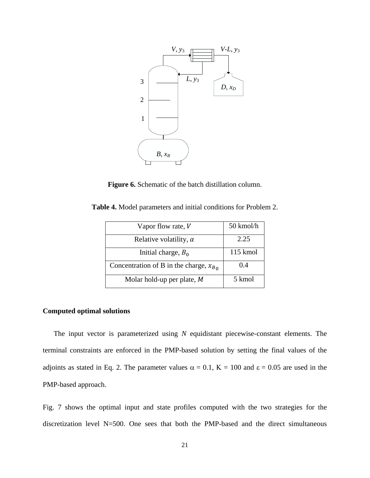

**Figure 6.** Schematic of the batch distillation column.

| Vapor flow rate, $V$                        | 50 kmol/h |
|---------------------------------------------|-----------|
| Relative volatility, $\alpha$               | 2.25      |
| Initial charge, $B_0$                       | 115 kmol  |
| Concentration of B in the charge, $x_{B_0}$ | 0.4       |
| Molar hold-up per plate, $M$                | 5 kmol    |

**Table 4.** Model parameters and initial conditions for Problem 2.

# **Computed optimal solutions**

 The input vector is parameterized using *N* equidistant piecewise-constant elements. The terminal constraints are enforced in the PMP-based solution by setting the final values of the adjoints as stated in Eq. 2. The parameter values  $\alpha = 0.1$ ,  $K = 100$  and  $\epsilon = 0.05$  are used in the PMP-based approach.

Fig. 7 shows the optimal input and state profiles computed with the two strategies for the discretization level N=500. One sees that both the PMP-based and the direct simultaneous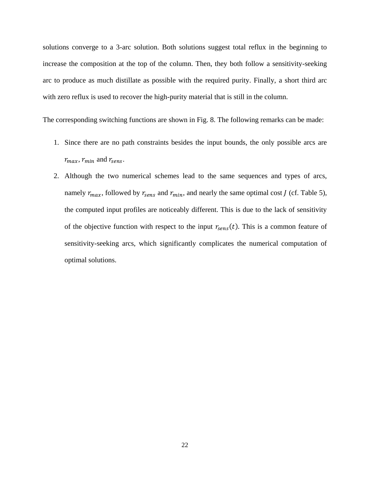solutions converge to a 3-arc solution. Both solutions suggest total reflux in the beginning to increase the composition at the top of the column. Then, they both follow a sensitivity-seeking arc to produce as much distillate as possible with the required purity. Finally, a short third arc with zero reflux is used to recover the high-purity material that is still in the column.

The corresponding switching functions are shown in Fig. 8. The following remarks can be made:

- 1. Since there are no path constraints besides the input bounds, the only possible arcs are  $r_{max}$ ,  $r_{min}$  and  $r_{sens}$ .
- 2. Although the two numerical schemes lead to the same sequences and types of arcs, namely  $r_{max}$ , followed by  $r_{sens}$  and  $r_{min}$ , and nearly the same optimal cost *J* (cf. Table 5), the computed input profiles are noticeably different. This is due to the lack of sensitivity of the objective function with respect to the input  $r_{sens}(t)$ . This is a common feature of sensitivity-seeking arcs, which significantly complicates the numerical computation of optimal solutions.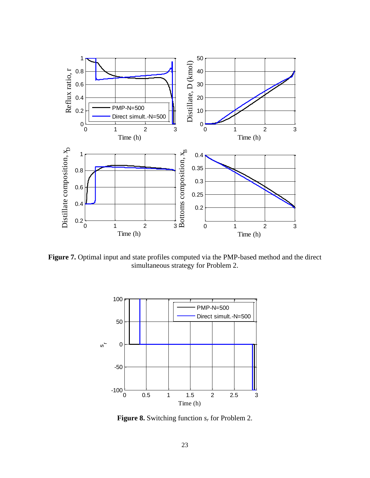

Figure 7. Optimal input and state profiles computed via the PMP-based method and the direct simultaneous strategy for Problem 2.



**Figure 8.** Switching function *s<sup>r</sup>* for Problem 2.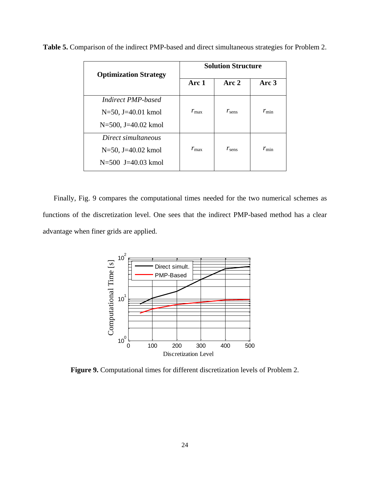| <b>Optimization Strategy</b> | <b>Solution Structure</b> |                |               |  |
|------------------------------|---------------------------|----------------|---------------|--|
|                              | Arc 1                     | Arc 2          | Arc 3         |  |
| <b>Indirect PMP-based</b>    |                           |                |               |  |
| $N=50$ , J=40.01 kmol        | $r_{\rm max}$             | $r_{\rm sens}$ | $r_{\rm min}$ |  |
| $N=500$ , J=40.02 kmol       |                           |                |               |  |
| Direct simultaneous          |                           |                |               |  |
| N=50, J=40.02 kmol           | $r_{\rm max}$             | $r_{\rm sens}$ | $r_{\rm min}$ |  |
| $N = 500$ J=40.03 kmol       |                           |                |               |  |

**Table 5.** Comparison of the indirect PMP-based and direct simultaneous strategies for Problem 2.

 Finally, Fig. 9 compares the computational times needed for the two numerical schemes as functions of the discretization level. One sees that the indirect PMP-based method has a clear advantage when finer grids are applied.



**Figure 9.** Computational times for different discretization levels of Problem 2.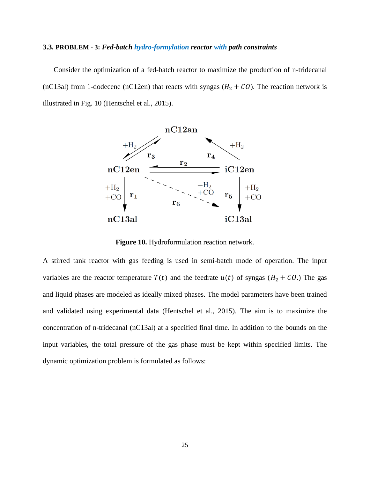#### **3.3. PROBLEM - 3:** *Fed-batch hydro-formylation reactor with path constraints*

 Consider the optimization of a fed-batch reactor to maximize the production of n-tridecanal (nC13al) from 1-dodecene (nC12en) that reacts with syngas ( $H_2 + CO$ ). The reaction network is illustrated in Fig. 10 [\(Hentschel et al., 2015\)](#page-35-15).



**Figure 10.** Hydroformulation reaction network.

A stirred tank reactor with gas feeding is used in semi-batch mode of operation. The input variables are the reactor temperature  $T(t)$  and the feedrate  $u(t)$  of syngas ( $H_2 + CO$ .) The gas and liquid phases are modeled as ideally mixed phases. The model parameters have been trained and validated using experimental data [\(Hentschel et al., 2015\)](#page-35-15). The aim is to maximize the concentration of n-tridecanal (nC13al) at a specified final time. In addition to the bounds on the input variables, the total pressure of the gas phase must be kept within specified limits. The dynamic optimization problem is formulated as follows: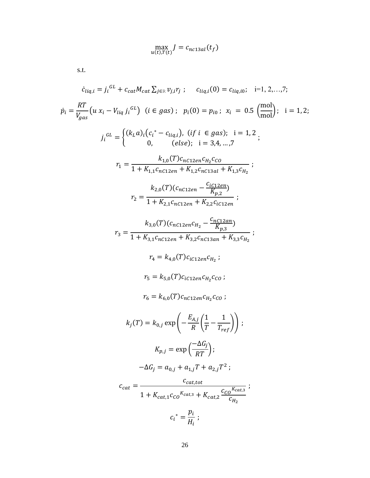$$
\max_{u(t),T(t)} J = c_{nc13al}(t_f)
$$

s.t.

$$
\dot{c}_{liq,i} = j_{i}^{GL} + c_{cat}M_{cat} \sum_{j \in \mathbb{R}} v_{j,i}r_{j}; \quad c_{liq,i}(0) = c_{liq,i0}; \quad i = 1, 2, ..., 7;
$$
\n
$$
\dot{p}_{i} = \frac{RT}{V_{gas}} (u x_{i} - V_{liq} j_{i}^{GL}) \quad (i \in gas); \quad p_{i}(0) = p_{i0}; \quad x_{i} = 0.5 \left(\frac{\text{mol}}{\text{mol}}\right); \quad i = 1, 2;
$$
\n
$$
j_{i}^{GL} = \begin{cases} (k_{L}a)_{i}(c_{i}^{*} - c_{liq,i}), (if \ i \in gas); \quad i = 1, 2 \\ 0, (else); \quad i = 3, 4, ..., 7 \end{cases};
$$
\n
$$
r_{1} = \frac{k_{1,0}(T)c_{nc12en}c_{H_{2}}c_{co}}{1 + K_{1,1}c_{nc12en} + K_{1,2}c_{nc13al} + K_{1,3}c_{H_{2}}};
$$
\n
$$
r_{2} = \frac{k_{2,0}(T)(c_{nc12en} - \frac{c_{ic12an}}{K_{p,2}})}{1 + K_{2,1}c_{nc12en} + K_{2,2}c_{ic12en}};
$$
\n
$$
r_{3} = \frac{k_{3,0}(T)(c_{nc12en}c_{H_{2}} - \frac{c_{nc12an}}{K_{p,3}})}{1 + K_{3,1}c_{nc12en} + K_{3,2}c_{nc13an} + K_{3,3}c_{H_{2}}};
$$
\n
$$
r_{4} = k_{4,0}(T)c_{ic12en}c_{H_{2}}c_{co};
$$
\n
$$
r_{5} = k_{5,0}(T)c_{ic12en}c_{H_{2}}c_{co};
$$
\n
$$
k_{j}(T) = k_{0,j} \exp\left(-\frac{E_{A,j}}{R}\left(\frac{1}{T} - \frac{1}{T_{ref}}\right)\right);
$$
\n
$$
K_{p,j} = \exp\left(\frac{-\Delta G_{j}}{RT}\right);
$$
\n
$$
- \Delta G_{j} = a_{0,j} + a_{1,j}T + a_{2,j}T^{2};
$$
\n<math display="block</math>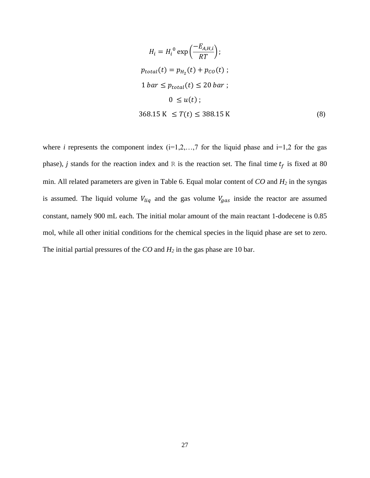$$
H_i = H_i^0 \exp\left(\frac{-E_{A,H,i}}{RT}\right);
$$
  
\n
$$
p_{total}(t) = p_{H_2}(t) + p_{CO}(t);
$$
  
\n
$$
1 \text{ bar} \le p_{total}(t) \le 20 \text{ bar};
$$
  
\n
$$
0 \le u(t);
$$
  
\n368.15 K  $\le T(t) \le 388.15 \text{ K}$  (8)

where *i* represents the component index  $(i=1,2,...,7$  for the liquid phase and  $i=1,2$  for the gas phase), *j* stands for the reaction index and R is the reaction set. The final time  $t_f$  is fixed at 80 min. All related parameters are given in Table 6. Equal molar content of *CO* and *H<sup>2</sup>* in the syngas is assumed. The liquid volume  $V_{liq}$  and the gas volume  $V_{gas}$  inside the reactor are assumed constant, namely 900 mL each. The initial molar amount of the main reactant 1-dodecene is 0.85 mol, while all other initial conditions for the chemical species in the liquid phase are set to zero. The initial partial pressures of the *CO* and *H<sup>2</sup>* in the gas phase are 10 bar.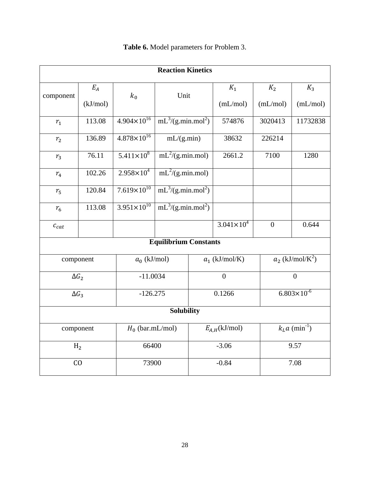| <b>Reaction Kinetics</b>        |                         |                        |                              |        |                                |                |                        |                |       |
|---------------------------------|-------------------------|------------------------|------------------------------|--------|--------------------------------|----------------|------------------------|----------------|-------|
|                                 | $E_A$                   |                        | Unit                         |        |                                |                | $K_1$                  | K <sub>2</sub> | $K_3$ |
| component                       | (kJ/mol)                | $k_0$                  |                              |        | (mL/mol)                       | (mL/mol)       | (mL/mol)               |                |       |
| $r_{1}$                         | 113.08                  | $4.904 \times 10^{16}$ | $mL^3/(g.min.mol^2)$         |        | 574876                         | 3020413        | 11732838               |                |       |
| $r_{2}$                         | 136.89                  | $4.878 \times 10^{16}$ | mL/(g.min)                   |        | 38632                          | 226214         |                        |                |       |
| $r_{3}$                         | 76.11                   | $5.411 \times 10^8$    | $mL^2/(g.min.mol)$           |        | 2661.2                         | 7100           | 1280                   |                |       |
| $r_{4}$                         | 102.26                  | $2.958 \times 10^{4}$  | $mL^2/(g.min.mol)$           |        |                                |                |                        |                |       |
| $r_{5}$                         | 120.84                  | $7.619\times10^{10}$   | $mL^3/(g.min.mol^2)$         |        |                                |                |                        |                |       |
| $r_{6}$                         | 113.08                  | $3.951 \times 10^{10}$ | $mL^3/(g.min.mol^2)$         |        |                                |                |                        |                |       |
| $c_{cat}$                       |                         |                        |                              |        | $3.041 \times 10^{4}$          | $\overline{0}$ | 0.644                  |                |       |
|                                 |                         |                        | <b>Equilibrium Constants</b> |        |                                |                |                        |                |       |
| $a_0$ (kJ/mol)<br>component     |                         | $a_1$ (kJ/mol/K)       |                              |        | $a_2$ (kJ/mol/K <sup>2</sup> ) |                |                        |                |       |
| $\Delta G_2$                    |                         |                        | $-11.0034$                   |        | $\overline{0}$                 |                | $\overline{0}$         |                |       |
| $\Delta G_3$                    |                         | $-126.275$             |                              | 0.1266 |                                |                | $6.803 \times 10^{-6}$ |                |       |
| <b>Solubility</b>               |                         |                        |                              |        |                                |                |                        |                |       |
| $H_0$ (bar.mL/mol)<br>component |                         | $E_{A,H}$ (kJ/mol)     |                              |        | $kLa$ (min <sup>-1</sup> )     |                |                        |                |       |
|                                 | 66400<br>H <sub>2</sub> |                        | $-3.06$                      |        |                                | 9.57           |                        |                |       |
| C <sub>0</sub><br>73900         |                         |                        | $-0.84$<br>7.08              |        |                                |                |                        |                |       |

**Table 6.** Model parameters for Problem 3.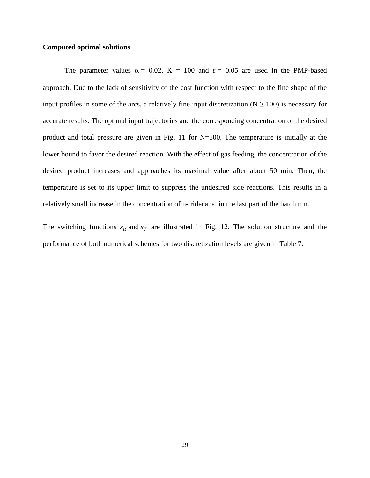## **Computed optimal solutions**

The parameter values  $\alpha = 0.02$ ,  $K = 100$  and  $\varepsilon = 0.05$  are used in the PMP-based approach. Due to the lack of sensitivity of the cost function with respect to the fine shape of the input profiles in some of the arcs, a relatively fine input discretization ( $N \ge 100$ ) is necessary for accurate results. The optimal input trajectories and the corresponding concentration of the desired product and total pressure are given in Fig. 11 for N=500. The temperature is initially at the lower bound to favor the desired reaction. With the effect of gas feeding, the concentration of the desired product increases and approaches its maximal value after about 50 min. Then, the temperature is set to its upper limit to suppress the undesired side reactions. This results in a relatively small increase in the concentration of n-tridecanal in the last part of the batch run.

The switching functions  $s_u$  and  $s_T$  are illustrated in Fig. 12. The solution structure and the performance of both numerical schemes for two discretization levels are given in Table 7.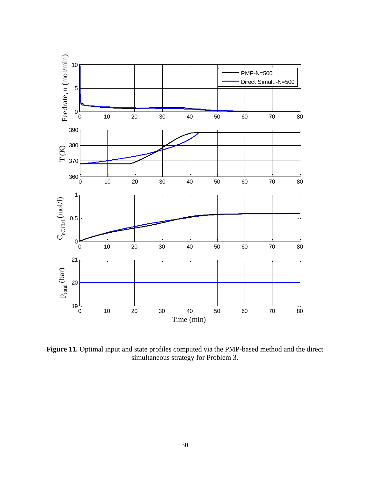

Figure 11. Optimal input and state profiles computed via the PMP-based method and the direct simultaneous strategy for Problem 3.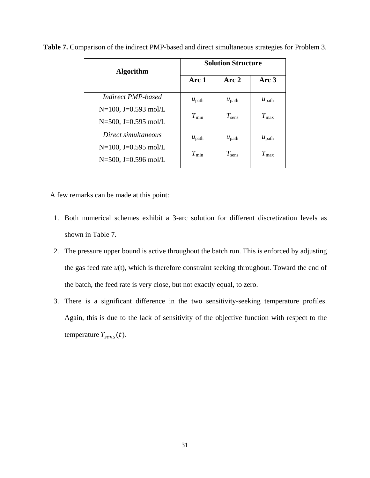| <b>Algorithm</b>        | <b>Solution Structure</b> |                   |                   |  |
|-------------------------|---------------------------|-------------------|-------------------|--|
|                         | Arc 1                     | Arc 2             | Arc 3             |  |
| Indirect PMP-based      | $u_{\text{path}}$         | $u_{\text{path}}$ | $u_{\text{path}}$ |  |
| $N=100$ , J=0.593 mol/L | $T_{\min}$                | $T_{\rm sens}$    | $T_{\rm max}$     |  |
| $N=500$ , J=0.595 mol/L |                           |                   |                   |  |
| Direct simultaneous     | $u_{\text{path}}$         | $u_{\text{path}}$ | $u_{\text{path}}$ |  |
| $N=100$ , J=0.595 mol/L | $T_{\min}$                | $T_{\rm sens}$    | $T_{\rm max}$     |  |
| $N=500$ , J=0.596 mol/L |                           |                   |                   |  |

**Table 7.** Comparison of the indirect PMP-based and direct simultaneous strategies for Problem 3.

A few remarks can be made at this point:

- 1. Both numerical schemes exhibit a 3-arc solution for different discretization levels as shown in Table 7.
- 2. The pressure upper bound is active throughout the batch run. This is enforced by adjusting the gas feed rate  $u(t)$ , which is therefore constraint seeking throughout. Toward the end of the batch, the feed rate is very close, but not exactly equal, to zero.
- 3. There is a significant difference in the two sensitivity-seeking temperature profiles. Again, this is due to the lack of sensitivity of the objective function with respect to the temperature  $T_{sens}(t)$ .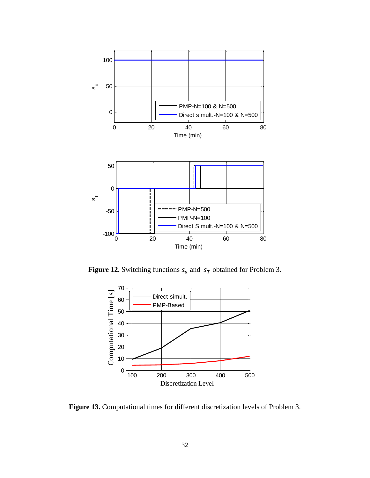

**Figure 12.** Switching functions  $s_u$  and  $s_T$  obtained for Problem 3.



**Figure 13.** Computational times for different discretization levels of Problem 3.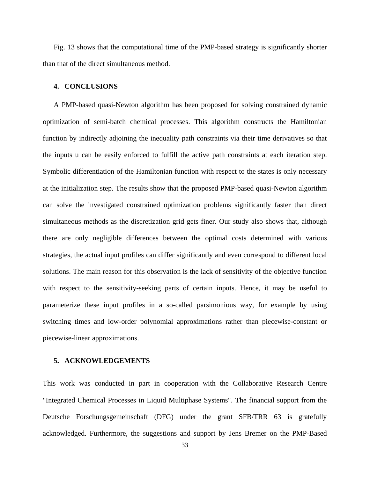Fig. 13 shows that the computational time of the PMP-based strategy is significantly shorter than that of the direct simultaneous method.

#### **4. CONCLUSIONS**

A PMP-based quasi-Newton algorithm has been proposed for solving constrained dynamic optimization of semi-batch chemical processes. This algorithm constructs the Hamiltonian function by indirectly adjoining the inequality path constraints via their time derivatives so that the inputs u can be easily enforced to fulfill the active path constraints at each iteration step. Symbolic differentiation of the Hamiltonian function with respect to the states is only necessary at the initialization step. The results show that the proposed PMP-based quasi-Newton algorithm can solve the investigated constrained optimization problems significantly faster than direct simultaneous methods as the discretization grid gets finer. Our study also shows that, although there are only negligible differences between the optimal costs determined with various strategies, the actual input profiles can differ significantly and even correspond to different local solutions. The main reason for this observation is the lack of sensitivity of the objective function with respect to the sensitivity-seeking parts of certain inputs. Hence, it may be useful to parameterize these input profiles in a so-called parsimonious way, for example by using switching times and low-order polynomial approximations rather than piecewise-constant or piecewise-linear approximations.

# **5. ACKNOWLEDGEMENTS**

This work was conducted in part in cooperation with the Collaborative Research Centre "Integrated Chemical Processes in Liquid Multiphase Systems". The financial support from the Deutsche Forschungsgemeinschaft (DFG) under the grant SFB/TRR 63 is gratefully acknowledged. Furthermore, the suggestions and support by Jens Bremer on the PMP-Based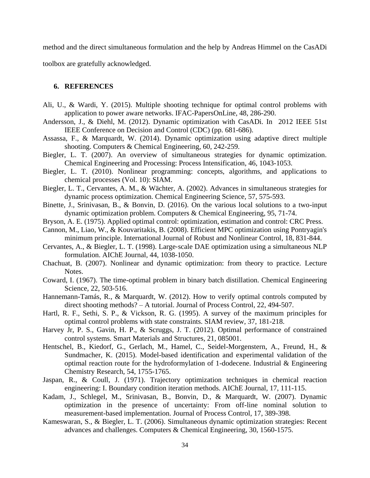method and the direct simultaneous formulation and the help by Andreas Himmel on the CasADi

toolbox are gratefully acknowledged.

# **6. REFERENCES**

- <span id="page-35-11"></span>Ali, U., & Wardi, Y. (2015). Multiple shooting technique for optimal control problems with application to power aware networks. IFAC-PapersOnLine*,* 48, 286-290.
- <span id="page-35-16"></span>Andersson, J., & Diehl, M. (2012). Dynamic optimization with CasADi. In 2012 IEEE 51st IEEE Conference on Decision and Control (CDC) (pp. 681-686).
- <span id="page-35-8"></span>Assassa, F., & Marquardt, W. (2014). Dynamic optimization using adaptive direct multiple shooting. Computers & Chemical Engineering*,* 60, 242-259.
- <span id="page-35-2"></span>Biegler, L. T. (2007). An overview of simultaneous strategies for dynamic optimization. Chemical Engineering and Processing: Process Intensification*,* 46, 1043-1053.
- <span id="page-35-13"></span>Biegler, L. T. (2010). Nonlinear programming: concepts, algorithms, and applications to chemical processes (Vol. 10): SIAM.
- <span id="page-35-1"></span>Biegler, L. T., Cervantes, A. M., & Wächter, A. (2002). Advances in simultaneous strategies for dynamic process optimization. Chemical Engineering Science*,* 57, 575-593.
- <span id="page-35-17"></span>Binette, J., Srinivasan, B., & Bonvin, D. (2016). On the various local solutions to a two-input dynamic optimization problem. Computers & Chemical Engineering*,* 95, 71-74.
- <span id="page-35-3"></span>Bryson, A. E. (1975). Applied optimal control: optimization, estimation and control: CRC Press.
- <span id="page-35-10"></span>Cannon, M., Liao, W., & Kouvaritakis, B. (2008). Efficient MPC optimization using Pontryagin's minimum principle. International Journal of Robust and Nonlinear Control*,* 18, 831-844.
- <span id="page-35-0"></span>Cervantes, A., & Biegler, L. T. (1998). Large‐scale DAE optimization using a simultaneous NLP formulation. AIChE Journal*,* 44, 1038-1050.
- <span id="page-35-5"></span>Chachuat, B. (2007). Nonlinear and dynamic optimization: from theory to practice. Lecture Notes.
- <span id="page-35-18"></span>Coward, I. (1967). The time-optimal problem in binary batch distillation. Chemical Engineering Science*,* 22, 503-516.
- <span id="page-35-12"></span>Hannemann-Tamás, R., & Marquardt, W. (2012). How to verify optimal controls computed by direct shooting methods? – A tutorial. Journal of Process Control*,* 22, 494-507.
- <span id="page-35-4"></span>Hartl, R. F., Sethi, S. P., & Vickson, R. G. (1995). A survey of the maximum principles for optimal control problems with state constraints. SIAM review*,* 37, 181-218.
- <span id="page-35-14"></span>Harvey Jr, P. S., Gavin, H. P., & Scruggs, J. T. (2012). Optimal performance of constrained control systems. Smart Materials and Structures*,* 21, 085001.
- <span id="page-35-15"></span>Hentschel, B., Kiedorf, G., Gerlach, M., Hamel, C., Seidel-Morgenstern, A., Freund, H., & Sundmacher, K. (2015). Model-based identification and experimental validation of the optimal reaction route for the hydroformylation of 1-dodecene. Industrial & Engineering Chemistry Research*,* 54, 1755-1765.
- <span id="page-35-9"></span>Jaspan, R., & Coull, J. (1971). Trajectory optimization techniques in chemical reaction engineering: I. Boundary condition iteration methods. AIChE Journal*,* 17, 111-115.
- <span id="page-35-6"></span>Kadam, J., Schlegel, M., Srinivasan, B., Bonvin, D., & Marquardt, W. (2007). Dynamic optimization in the presence of uncertainty: From off-line nominal solution to measurement-based implementation. Journal of Process Control*,* 17, 389-398.
- <span id="page-35-7"></span>Kameswaran, S., & Biegler, L. T. (2006). Simultaneous dynamic optimization strategies: Recent advances and challenges. Computers & Chemical Engineering*,* 30, 1560-1575.